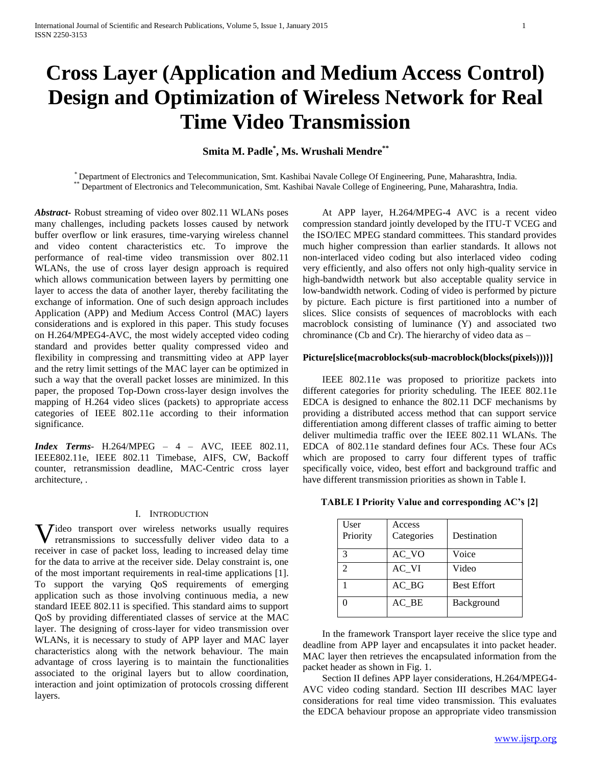# **Cross Layer (Application and Medium Access Control) Design and Optimization of Wireless Network for Real Time Video Transmission**

## **Smita M. Padle\* , Ms. Wrushali Mendre\*\***

\* Department of Electronics and Telecommunication, Smt. Kashibai Navale College Of Engineering, Pune, Maharashtra, India. \*\* Department of Electronics and Telecommunication, Smt. Kashibai Navale College of Engineering, Pune, Maharashtra, India.

*Abstract***-** Robust streaming of video over 802.11 WLANs poses many challenges, including packets losses caused by network buffer overflow or link erasures, time-varying wireless channel and video content characteristics etc. To improve the performance of real-time video transmission over 802.11 WLANs, the use of cross layer design approach is required which allows communication between layers by permitting one layer to access the data of another layer, thereby facilitating the exchange of information. One of such design approach includes Application (APP) and Medium Access Control (MAC) layers considerations and is explored in this paper. This study focuses on H.264/MPEG4-AVC, the most widely accepted video coding standard and provides better quality compressed video and flexibility in compressing and transmitting video at APP layer and the retry limit settings of the MAC layer can be optimized in such a way that the overall packet losses are minimized. In this paper, the proposed Top-Down cross-layer design involves the mapping of H.264 video slices (packets) to appropriate access categories of IEEE 802.11e according to their information significance.

*Index Terms*- H.264/MPEG – 4 – AVC, IEEE 802.11, IEEE802.11e, IEEE 802.11 Timebase, AIFS, CW, Backoff counter, retransmission deadline, MAC-Centric cross layer architecture, .

#### I. INTRODUCTION

Video transport over wireless networks usually requires retransmissions to successfully deliver video data to a retransmissions to successfully deliver video data to a receiver in case of packet loss, leading to increased delay time for the data to arrive at the receiver side. Delay constraint is, one of the most important requirements in real-time applications [1]. To support the varying QoS requirements of emerging application such as those involving continuous media, a new standard IEEE 802.11 is specified. This standard aims to support QoS by providing differentiated classes of service at the MAC layer. The designing of cross-layer for video transmission over WLANs, it is necessary to study of APP layer and MAC layer characteristics along with the network behaviour. The main advantage of cross layering is to maintain the functionalities associated to the original layers but to allow coordination, interaction and joint optimization of protocols crossing different layers.

 At APP layer, H.264/MPEG-4 AVC is a recent video compression standard jointly developed by the ITU-T VCEG and the ISO/IEC MPEG standard committees. This standard provides much higher compression than earlier standards. It allows not non-interlaced video coding but also interlaced video coding very efficiently, and also offers not only high-quality service in high-bandwidth network but also acceptable quality service in low-bandwidth network. Coding of video is performed by picture by picture. Each picture is first partitioned into a number of slices. Slice consists of sequences of macroblocks with each macroblock consisting of luminance (Y) and associated two chrominance (Cb and Cr). The hierarchy of video data as –

#### **Picture[slice{macroblocks(sub-macroblock(blocks(pixels)))}]**

 IEEE 802.11e was proposed to prioritize packets into different categories for priority scheduling. The IEEE 802.11e EDCA is designed to enhance the 802.11 DCF mechanisms by providing a distributed access method that can support service differentiation among different classes of traffic aiming to better deliver multimedia traffic over the IEEE 802.11 WLANs. The EDCA of 802.11e standard defines four ACs. These four ACs which are proposed to carry four different types of traffic specifically voice, video, best effort and background traffic and have different transmission priorities as shown in Table I.

**TABLE I Priority Value and corresponding AC's [2]**

| User<br>Priority | Access<br>Categories | Destination        |
|------------------|----------------------|--------------------|
| $\mathcal{R}$    | AC VO                | Voice              |
| $\mathcal{D}$    | AC VI                | Video              |
|                  | $AC_BG$              | <b>Best Effort</b> |
|                  | AC BE                | Background         |

 In the framework Transport layer receive the slice type and deadline from APP layer and encapsulates it into packet header. MAC layer then retrieves the encapsulated information from the packet header as shown in Fig. 1.

 Section II defines APP layer considerations, H.264/MPEG4- AVC video coding standard. Section III describes MAC layer considerations for real time video transmission. This evaluates the EDCA behaviour propose an appropriate video transmission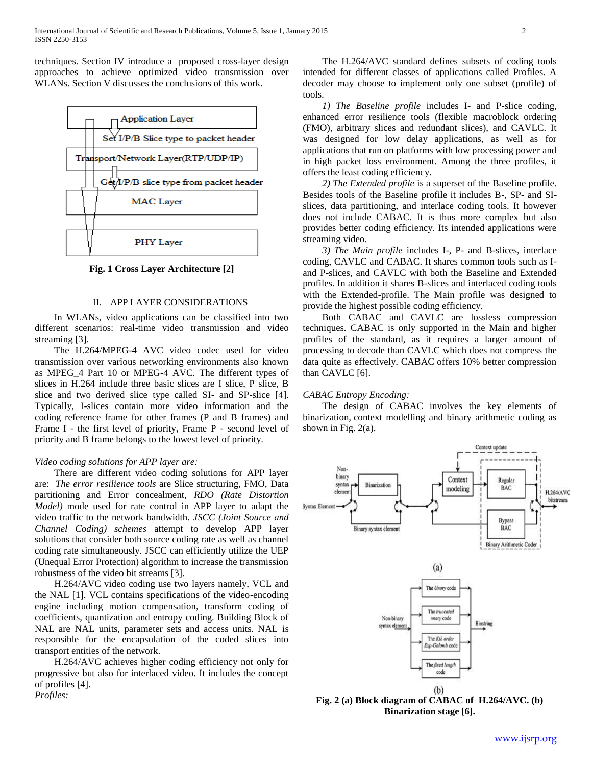techniques. Section IV introduce a proposed cross-layer design approaches to achieve optimized video transmission over WLANs. Section V discusses the conclusions of this work.



**Fig. 1 Cross Layer Architecture [2]**

## II. APP LAYER CONSIDERATIONS

 In WLANs, video applications can be classified into two different scenarios: real-time video transmission and video streaming [3].

 The H.264/MPEG-4 AVC video codec used for video transmission over various networking environments also known as MPEG\_4 Part 10 or MPEG-4 AVC. The different types of slices in H.264 include three basic slices are I slice, P slice, B slice and two derived slice type called SI- and SP-slice [4]. Typically, I-slices contain more video information and the coding reference frame for other frames (P and B frames) and Frame I - the first level of priority, Frame P - second level of priority and B frame belongs to the lowest level of priority.

## *Video coding solutions for APP layer are:*

 There are different video coding solutions for APP layer are: *The error resilience tools* are Slice structuring, FMO, Data partitioning and Error concealment, *RDO (Rate Distortion Model)* mode used for rate control in APP layer to adapt the video traffic to the network bandwidth. *JSCC (Joint Source and Channel Coding) schemes* attempt to develop APP layer solutions that consider both source coding rate as well as channel coding rate simultaneously. JSCC can efficiently utilize the UEP (Unequal Error Protection) algorithm to increase the transmission robustness of the video bit streams [3].

 H.264/AVC video coding use two layers namely, VCL and the NAL [1]. VCL contains specifications of the video-encoding engine including motion compensation, transform coding of coefficients, quantization and entropy coding. Building Block of NAL are NAL units, parameter sets and access units. NAL is responsible for the encapsulation of the coded slices into transport entities of the network.

 H.264/AVC achieves higher coding efficiency not only for progressive but also for interlaced video. It includes the concept of profiles [4]. *Profiles:*

 The H.264/AVC standard defines subsets of coding tools intended for different classes of applications called Profiles. A decoder may choose to implement only one subset (profile) of tools.

 *1) The Baseline profile* includes I- and P-slice coding, enhanced error resilience tools (flexible macroblock ordering (FMO), arbitrary slices and redundant slices), and CAVLC. It was designed for low delay applications, as well as for applications that run on platforms with low processing power and in high packet loss environment. Among the three profiles, it offers the least coding efficiency.

 *2) The Extended profile* is a superset of the Baseline profile. Besides tools of the Baseline profile it includes B-, SP- and SIslices, data partitioning, and interlace coding tools. It however does not include CABAC. It is thus more complex but also provides better coding efficiency. Its intended applications were streaming video.

 *3) The Main profile* includes I-, P- and B-slices, interlace coding, CAVLC and CABAC. It shares common tools such as Iand P-slices, and CAVLC with both the Baseline and Extended profiles. In addition it shares B-slices and interlaced coding tools with the Extended-profile. The Main profile was designed to provide the highest possible coding efficiency.

 Both CABAC and CAVLC are lossless compression techniques. CABAC is only supported in the Main and higher profiles of the standard, as it requires a larger amount of processing to decode than CAVLC which does not compress the data quite as effectively. CABAC offers 10% better compression than CAVLC [6].

#### *CABAC Entropy Encoding:*

 The design of CABAC involves the key elements of binarization, context modelling and binary arithmetic coding as shown in Fig. 2(a).



**Fig. 2 (a) Block diagram of CABAC of H.264/AVC. (b) Binarization stage [6].**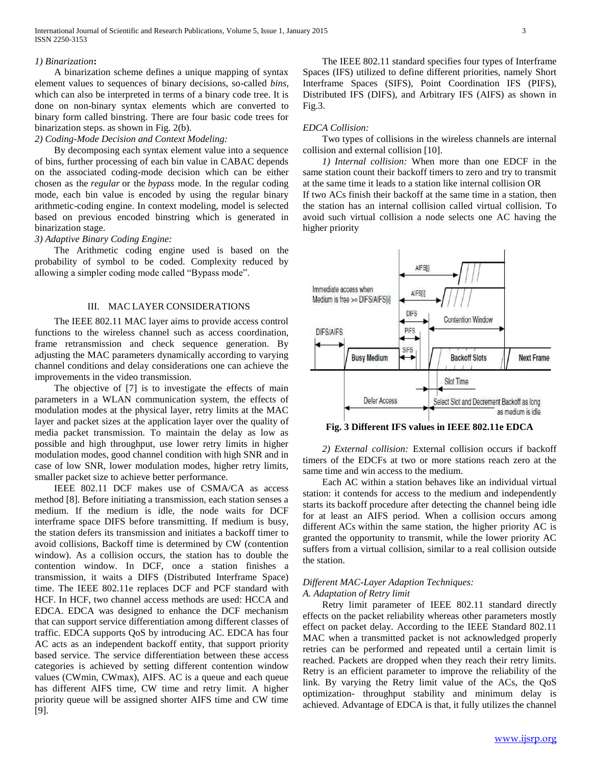#### *1) Binarization***:**

 A binarization scheme defines a unique mapping of syntax element values to sequences of binary decisions, so-called *bins*, which can also be interpreted in terms of a binary code tree. It is done on non-binary syntax elements which are converted to binary form called binstring. There are four basic code trees for binarization steps. as shown in Fig. 2(b).

## *2) Coding-Mode Decision and Context Modeling:*

 By decomposing each syntax element value into a sequence of bins, further processing of each bin value in CABAC depends on the associated coding-mode decision which can be either chosen as the *regular* or the *bypass* mode. In the regular coding mode, each bin value is encoded by using the regular binary arithmetic-coding engine. In context modeling, model is selected based on previous encoded binstring which is generated in binarization stage.

## *3) Adaptive Binary Coding Engine:*

 The Arithmetic coding engine used is based on the probability of symbol to be coded. Complexity reduced by allowing a simpler coding mode called "Bypass mode".

## III. MAC LAYER CONSIDERATIONS

 The IEEE 802.11 MAC layer aims to provide access control functions to the wireless channel such as access coordination, frame retransmission and check sequence generation. By adjusting the MAC parameters dynamically according to varying channel conditions and delay considerations one can achieve the improvements in the video transmission.

 The objective of [7] is to investigate the effects of main parameters in a WLAN communication system, the effects of modulation modes at the physical layer, retry limits at the MAC layer and packet sizes at the application layer over the quality of media packet transmission. To maintain the delay as low as possible and high throughput, use lower retry limits in higher modulation modes, good channel condition with high SNR and in case of low SNR, lower modulation modes, higher retry limits, smaller packet size to achieve better performance.

 IEEE 802.11 DCF makes use of CSMA/CA as access method [8]. Before initiating a transmission, each station senses a medium. If the medium is idle, the node waits for DCF interframe space DIFS before transmitting. If medium is busy, the station defers its transmission and initiates a backoff timer to avoid collisions, Backoff time is determined by CW (contention window). As a collision occurs, the station has to double the contention window. In DCF, once a station finishes a transmission, it waits a DIFS (Distributed Interframe Space) time. The IEEE 802.11e replaces DCF and PCF standard with HCF. In HCF, two channel access methods are used: HCCA and EDCA. EDCA was designed to enhance the DCF mechanism that can support service differentiation among different classes of traffic. EDCA supports QoS by introducing AC. EDCA has four AC acts as an independent backoff entity, that support priority based service. The service differentiation between these access categories is achieved by setting different contention window values (CWmin, CWmax), AIFS. AC is a queue and each queue has different AIFS time, CW time and retry limit. A higher priority queue will be assigned shorter AIFS time and CW time [9].

 The IEEE 802.11 standard specifies four types of Interframe Spaces (IFS) utilized to define different priorities, namely Short Interframe Spaces (SIFS), Point Coordination IFS (PIFS), Distributed IFS (DIFS), and Arbitrary IFS (AIFS) as shown in Fig.3.

## *EDCA Collision:*

 Two types of collisions in the wireless channels are internal collision and external collision [10].

 *1) Internal collision:* When more than one EDCF in the same station count their backoff timers to zero and try to transmit at the same time it leads to a station like internal collision OR If two ACs finish their backoff at the same time in a station, then the station has an internal collision called virtual collision. To avoid such virtual collision a node selects one AC having the higher priority



**Fig. 3 Different IFS values in IEEE 802.11e EDCA**

 *2) External collision:* External collision occurs if backoff timers of the EDCFs at two or more stations reach zero at the same time and win access to the medium.

 Each AC within a station behaves like an individual virtual station: it contends for access to the medium and independently starts its backoff procedure after detecting the channel being idle for at least an AIFS period. When a collision occurs among different ACs within the same station, the higher priority AC is granted the opportunity to transmit, while the lower priority AC suffers from a virtual collision, similar to a real collision outside the station.

## *Different MAC-Layer Adaption Techniques:*

#### *A. Adaptation of Retry limit*

 Retry limit parameter of IEEE 802.11 standard directly effects on the packet reliability whereas other parameters mostly effect on packet delay. According to the IEEE Standard 802.11 MAC when a transmitted packet is not acknowledged properly retries can be performed and repeated until a certain limit is reached. Packets are dropped when they reach their retry limits. Retry is an efficient parameter to improve the reliability of the link. By varying the Retry limit value of the ACs, the QoS optimization- throughput stability and minimum delay is achieved. Advantage of EDCA is that, it fully utilizes the channel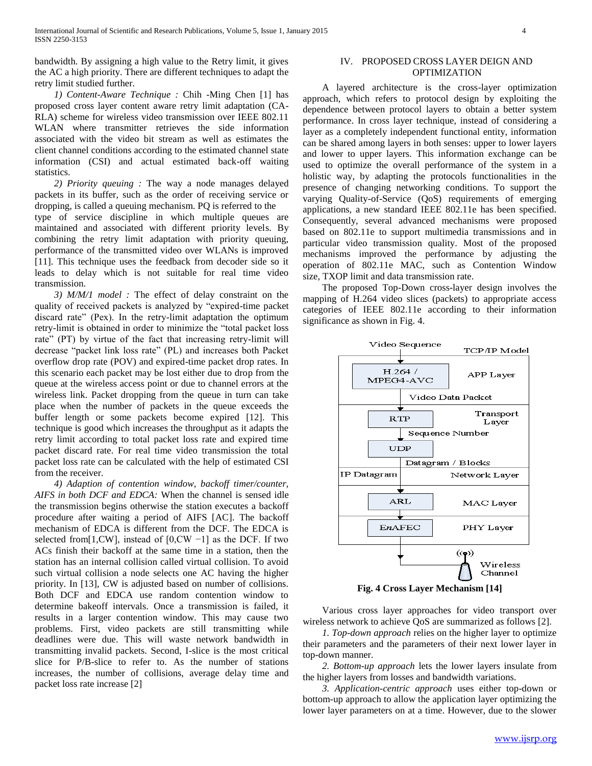bandwidth. By assigning a high value to the Retry limit, it gives the AC a high priority. There are different techniques to adapt the retry limit studied further.

 *1) Content-Aware Technique :* Chih -Ming Chen [1] has proposed cross layer content aware retry limit adaptation (CA-RLA) scheme for wireless video transmission over IEEE 802.11 WLAN where transmitter retrieves the side information associated with the video bit stream as well as estimates the client channel conditions according to the estimated channel state information (CSI) and actual estimated back-off waiting statistics.

 *2) Priority queuing :* The way a node manages delayed packets in its buffer, such as the order of receiving service or dropping, is called a queuing mechanism. PQ is referred to the type of service discipline in which multiple queues are maintained and associated with different priority levels. By combining the retry limit adaptation with priority queuing, performance of the transmitted video over WLANs is improved [11]. This technique uses the feedback from decoder side so it leads to delay which is not suitable for real time video transmission.

 *3) M/M/1 model :* The effect of delay constraint on the quality of received packets is analyzed by "expired-time packet discard rate" (Pex). In the retry-limit adaptation the optimum retry-limit is obtained in order to minimize the "total packet loss rate" (PT) by virtue of the fact that increasing retry-limit will decrease "packet link loss rate" (PL) and increases both Packet overflow drop rate (POV) and expired-time packet drop rates. In this scenario each packet may be lost either due to drop from the queue at the wireless access point or due to channel errors at the wireless link. Packet dropping from the queue in turn can take place when the number of packets in the queue exceeds the buffer length or some packets become expired [12]. This technique is good which increases the throughput as it adapts the retry limit according to total packet loss rate and expired time packet discard rate. For real time video transmission the total packet loss rate can be calculated with the help of estimated CSI from the receiver.

 *4) Adaption of contention window, backoff timer/counter, AIFS in both DCF and EDCA:* When the channel is sensed idle the transmission begins otherwise the station executes a backoff procedure after waiting a period of AIFS [AC]. The backoff mechanism of EDCA is different from the DCF. The EDCA is selected from[1,CW], instead of [0,CW −1] as the DCF. If two ACs finish their backoff at the same time in a station, then the station has an internal collision called virtual collision. To avoid such virtual collision a node selects one AC having the higher priority. In [13], CW is adjusted based on number of collisions. Both DCF and EDCA use random contention window to determine bakeoff intervals. Once a transmission is failed, it results in a larger contention window. This may cause two problems. First, video packets are still transmitting while deadlines were due. This will waste network bandwidth in transmitting invalid packets. Second, I-slice is the most critical slice for P/B-slice to refer to. As the number of stations increases, the number of collisions, average delay time and packet loss rate increase [2]

## IV. PROPOSED CROSS LAYER DEIGN AND **OPTIMIZATION**

 A layered architecture is the cross-layer optimization approach, which refers to protocol design by exploiting the dependence between protocol layers to obtain a better system performance. In cross layer technique, instead of considering a layer as a completely independent functional entity, information can be shared among layers in both senses: upper to lower layers and lower to upper layers. This information exchange can be used to optimize the overall performance of the system in a holistic way, by adapting the protocols functionalities in the presence of changing networking conditions. To support the varying Quality-of-Service (QoS) requirements of emerging applications, a new standard IEEE 802.11e has been specified. Consequently, several advanced mechanisms were proposed based on 802.11e to support multimedia transmissions and in particular video transmission quality. Most of the proposed mechanisms improved the performance by adjusting the operation of 802.11e MAC, such as Contention Window size, TXOP limit and data transmission rate.

 The proposed Top-Down cross-layer design involves the mapping of H.264 video slices (packets) to appropriate access categories of IEEE 802.11e according to their information significance as shown in Fig. 4.



**Fig. 4 Cross Layer Mechanism [14]**

 Various cross layer approaches for video transport over wireless network to achieve QoS are summarized as follows [2].

 *1. Top-down approach* relies on the higher layer to optimize their parameters and the parameters of their next lower layer in top-down manner.

 *2. Bottom-up approach* lets the lower layers insulate from the higher layers from losses and bandwidth variations.

 *3. Application-centric approach* uses either top-down or bottom-up approach to allow the application layer optimizing the lower layer parameters on at a time. However, due to the slower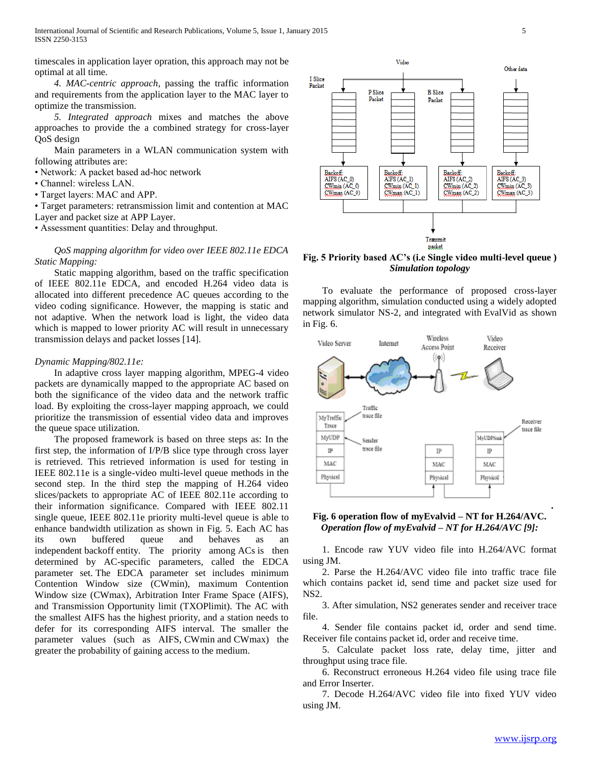International Journal of Scientific and Research Publications, Volume 5, Issue 1, January 2015 5 ISSN 2250-3153

timescales in application layer opration, this approach may not be optimal at all time.

 *4. MAC-centric approach*, passing the traffic information and requirements from the application layer to the MAC layer to optimize the transmission.

 *5. Integrated approach* mixes and matches the above approaches to provide the a combined strategy for cross-layer QoS design

 Main parameters in a WLAN communication system with following attributes are:

• Network: A packet based ad-hoc network

- Channel: wireless LAN.
- Target layers: MAC and APP.

• Target parameters: retransmission limit and contention at MAC

Layer and packet size at APP Layer.

• Assessment quantities: Delay and throughput.

 *QoS mapping algorithm for video over IEEE 802.11e EDCA Static Mapping:* 

 Static mapping algorithm, based on the traffic specification of IEEE 802.11e EDCA, and encoded H.264 video data is allocated into different precedence AC queues according to the video coding significance. However, the mapping is static and not adaptive. When the network load is light, the video data which is mapped to lower priority AC will result in unnecessary transmission delays and packet losses [14].

#### *Dynamic Mapping/802.11e:*

 In adaptive cross layer mapping algorithm, MPEG-4 video packets are dynamically mapped to the appropriate AC based on both the significance of the video data and the network traffic load. By exploiting the cross-layer mapping approach, we could prioritize the transmission of essential video data and improves the queue space utilization.

 The proposed framework is based on three steps as: In the first step, the information of I/P/B slice type through cross layer is retrieved. This retrieved information is used for testing in IEEE 802.11e is a single-video multi-level queue methods in the second step. In the third step the mapping of H.264 video slices/packets to appropriate AC of IEEE 802.11e according to their information significance. Compared with IEEE 802.11 single queue, IEEE 802.11e priority multi-level queue is able to enhance bandwidth utilization as shown in Fig. 5. Each AC has its own buffered queue and behaves as an independent backoff entity. The priority among ACs is then determined by AC-specific parameters, called the EDCA parameter set. The EDCA parameter set includes minimum Contention Window size (CWmin), maximum Contention Window size (CWmax), Arbitration Inter Frame Space (AIFS), and Transmission Opportunity limit (TXOPlimit). The AC with the smallest AIFS has the highest priority, and a station needs to defer for its corresponding AIFS interval. The smaller the parameter values (such as AIFS, CWmin and CWmax) the greater the probability of gaining access to the medium.



**Fig. 5 Priority based AC's (i.e Single video multi-level queue )** *Simulation topology*

 To evaluate the performance of proposed cross-layer mapping algorithm, simulation conducted using a widely adopted network simulator NS-2, and integrated with EvalVid as shown in Fig. 6.



## **Fig. 6 operation flow of myEvalvid – NT for H.264/AVC.**  *Operation flow of myEvalvid – NT for H.264/AVC [9]:*

 1. Encode raw YUV video file into H.264/AVC format using JM.

 2. Parse the H.264/AVC video file into traffic trace file which contains packet id, send time and packet size used for NS2.

 3. After simulation, NS2 generates sender and receiver trace file.

 4. Sender file contains packet id, order and send time. Receiver file contains packet id, order and receive time.

 5. Calculate packet loss rate, delay time, jitter and throughput using trace file.

 6. Reconstruct erroneous H.264 video file using trace file and Error Inserter.

 7. Decode H.264/AVC video file into fixed YUV video using JM.

**.**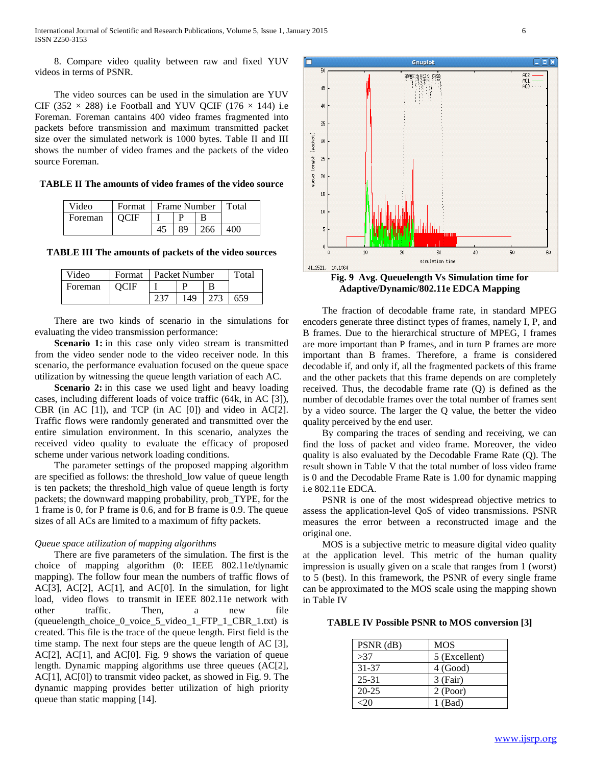8. Compare video quality between raw and fixed YUV videos in terms of PSNR.

 The video sources can be used in the simulation are YUV CIF (352  $\times$  288) i.e Football and YUV QCIF (176  $\times$  144) i.e Foreman. Foreman cantains 400 video frames fragmented into packets before transmission and maximum transmitted packet size over the simulated network is 1000 bytes. Table II and III shows the number of video frames and the packets of the video source Foreman.

**TABLE II The amounts of video frames of the video source**

| Video   | Format   Frame Number   Total |     |                     |     |
|---------|-------------------------------|-----|---------------------|-----|
| Foreman | <b>OCIF</b>                   |     |                     |     |
|         |                               | -89 | $\vert$ 266 $\vert$ | 400 |

**TABLE III The amounts of packets of the video sources**

| Video   | Format   Packet Number |  | Total |     |     |
|---------|------------------------|--|-------|-----|-----|
| Foreman | <b>OCIF</b>            |  |       |     |     |
|         |                        |  | 149   | 273 | 659 |

 There are two kinds of scenario in the simulations for evaluating the video transmission performance:

**Scenario 1:** in this case only video stream is transmitted from the video sender node to the video receiver node. In this scenario, the performance evaluation focused on the queue space utilization by witnessing the queue length variation of each AC.

**Scenario** 2: in this case we used light and heavy loading cases, including different loads of voice traffic (64k, in AC [3]), CBR (in AC  $[1]$ ), and TCP (in AC  $[0]$ ) and video in AC $[2]$ . Traffic flows were randomly generated and transmitted over the entire simulation environment. In this scenario, analyzes the received video quality to evaluate the efficacy of proposed scheme under various network loading conditions.

 The parameter settings of the proposed mapping algorithm are specified as follows: the threshold\_low value of queue length is ten packets; the threshold\_high value of queue length is forty packets; the downward mapping probability, prob\_TYPE, for the 1 frame is 0, for P frame is 0.6, and for B frame is 0.9. The queue sizes of all ACs are limited to a maximum of fifty packets.

## *Queue space utilization of mapping algorithms*

 There are five parameters of the simulation. The first is the choice of mapping algorithm (0: IEEE 802.11e/dynamic mapping). The follow four mean the numbers of traffic flows of AC[3], AC[2], AC[1], and AC[0]. In the simulation, for light load, video flows to transmit in IEEE 802.11e network with other traffic. Then, a new file (queuelength\_choice\_0\_voice\_5\_video\_1\_FTP\_1\_CBR\_1.txt) is created. This file is the trace of the queue length. First field is the time stamp. The next four steps are the queue length of AC [3], AC[2], AC[1], and AC[0]. Fig. 9 shows the variation of queue length. Dynamic mapping algorithms use three queues (AC[2], AC[1], AC[0]) to transmit video packet, as showed in Fig. 9. The dynamic mapping provides better utilization of high priority queue than static mapping [14].



**Adaptive/Dynamic/802.11e EDCA Mapping**

 The fraction of decodable frame rate, in standard MPEG encoders generate three distinct types of frames, namely I, P, and B frames. Due to the hierarchical structure of MPEG, I frames are more important than P frames, and in turn P frames are more important than B frames. Therefore, a frame is considered decodable if, and only if, all the fragmented packets of this frame and the other packets that this frame depends on are completely received. Thus, the decodable frame rate (Q) is defined as the number of decodable frames over the total number of frames sent by a video source. The larger the Q value, the better the video quality perceived by the end user.

 By comparing the traces of sending and receiving, we can find the loss of packet and video frame. Moreover, the video quality is also evaluated by the Decodable Frame Rate (Q). The result shown in Table V that the total number of loss video frame is 0 and the Decodable Frame Rate is 1.00 for dynamic mapping i.e 802.11e EDCA.

 PSNR is one of the most widespread objective metrics to assess the application-level QoS of video transmissions. PSNR measures the error between a reconstructed image and the original one.

 MOS is a subjective metric to measure digital video quality at the application level. This metric of the human quality impression is usually given on a scale that ranges from 1 (worst) to 5 (best). In this framework, the PSNR of every single frame can be approximated to the MOS scale using the mapping shown in Table IV

#### **TABLE IV Possible PSNR to MOS conversion [3]**

| $PSNR$ (dB) | MOS           |
|-------------|---------------|
| >37         | 5 (Excellent) |
| 31-37       | 4 (Good)      |
| $25 - 31$   | $3$ (Fair)    |
| $20 - 25$   | 2 (Poor)      |
|             | 1 (Bad)       |